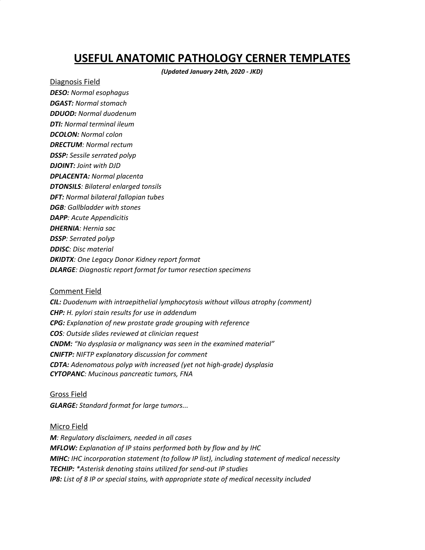## **USEFUL ANATOMIC PATHOLOGY CERNER TEMPLATES**

*(Updated January 24th, 2020 - JKD)*

Diagnosis Field *DESO: Normal esophagus DGAST: Normal stomach DDUOD: Normal duodenum DTI: Normal terminal ileum DCOLON: Normal colon DRECTUM: Normal rectum DSSP: Sessile serrated polyp DJOINT: Joint with DJD DPLACENTA: Normal placenta DTONSILS: Bilateral enlarged tonsils DFT: Normal bilateral fallopian tubes DGB: Gallbladder with stones DAPP: Acute Appendicitis DHERNIA: Hernia sac DSSP: Serrated polyp DDISC: Disc material DKIDTX: One Legacy Donor Kidney report format DLARGE: Diagnostic report format for tumor resection specimens*

## Comment Field

*CIL: Duodenum with intraepithelial lymphocytosis without villous atrophy (comment) CHP: H. pylori stain results for use in addendum CPG: Explanation of new prostate grade grouping with reference COS: Outside slides reviewed at clinician request CNDM: "No dysplasia or malignancy was seen in the examined material" CNIFTP: NIFTP explanatory discussion for comment CDTA: Adenomatous polyp with increased (yet not high-grade) dysplasia CYTOPANC: Mucinous pancreatic tumors, FNA*

## Gross Field *GLARGE: Standard format for large tumors...*

## Micro Field

*M: Regulatory disclaimers, needed in all cases MFLOW: Explanation of IP stains performed both by flow and by IHC MIHC: IHC incorporation statement (to follow IP list), including statement of medical necessity TECHIP: \*Asterisk denoting stains utilized for send-out IP studies IP8: List of 8 IP or special stains, with appropriate state of medical necessity included*